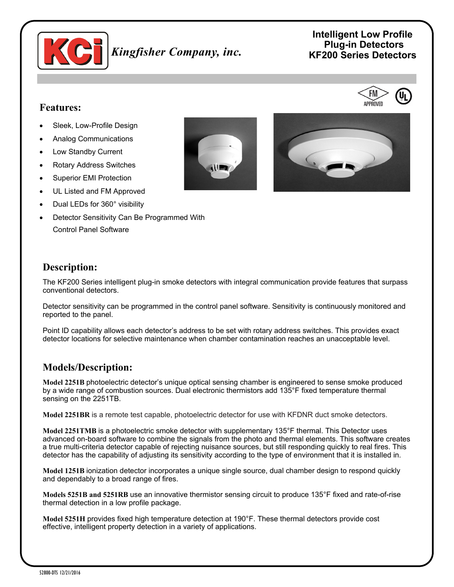

# **Intelligent Low Profile Plug-in Detectors** *Kingfisher Company, inc.* **KF200 Series Detectors**

#### **Features:**

- Sleek, Low-Profile Design
- Analog Communications
- Low Standby Current
- Rotary Address Switches
- Superior EMI Protection
- UL Listed and FM Approved
- Dual LEDs for 360° visibility
- Detector Sensitivity Can Be Programmed With Control Panel Software





#### **Description:**

The KF200 Series intelligent plug-in smoke detectors with integral communication provide features that surpass conventional detectors.

Detector sensitivity can be programmed in the control panel software. Sensitivity is continuously monitored and reported to the panel.

Point ID capability allows each detector's address to be set with rotary address switches. This provides exact detector locations for selective maintenance when chamber contamination reaches an unacceptable level.

#### **Models/Description:**

**Model 2251B** photoelectric detector's unique optical sensing chamber is engineered to sense smoke produced by a wide range of combustion sources. Dual electronic thermistors add 135°F fixed temperature thermal sensing on the 2251TB.

**Model 2251BR** is a remote test capable, photoelectric detector for use with KFDNR duct smoke detectors.

**Model 2251TMB** is a photoelectric smoke detector with supplementary 135°F thermal. This Detector uses advanced on-board software to combine the signals from the photo and thermal elements. This software creates a true multi-criteria detector capable of rejecting nuisance sources, but still responding quickly to real fires. This detector has the capability of adjusting its sensitivity according to the type of environment that it is installed in.

**Model 1251B** ionization detector incorporates a unique single source, dual chamber design to respond quickly and dependably to a broad range of fires.

**Models 5251B and 5251RB** use an innovative thermistor sensing circuit to produce 135°F fixed and rate-of-rise thermal detection in a low profile package.

**Model 5251H** provides fixed high temperature detection at 190°F. These thermal detectors provide cost effective, intelligent property detection in a variety of applications.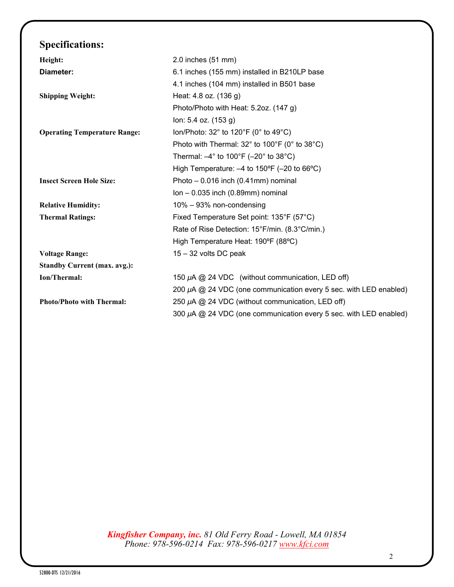## **Specifications:**

| Height:                             | $2.0$ inches $(51$ mm)                                                        |
|-------------------------------------|-------------------------------------------------------------------------------|
|                                     |                                                                               |
| Diameter:                           | 6.1 inches (155 mm) installed in B210LP base                                  |
|                                     | 4.1 inches (104 mm) installed in B501 base                                    |
| <b>Shipping Weight:</b>             | Heat: 4.8 oz. (136 g)                                                         |
|                                     | Photo/Photo with Heat: 5.2oz. (147 g)                                         |
|                                     | lon: 5.4 oz. (153 g)                                                          |
| <b>Operating Temperature Range:</b> | lon/Photo: 32° to 120°F (0° to 49°C)                                          |
|                                     | Photo with Thermal: 32° to 100°F (0° to 38°C)                                 |
|                                     | Thermal: $-4^{\circ}$ to 100 $^{\circ}$ F ( $-20^{\circ}$ to 38 $^{\circ}$ C) |
|                                     | High Temperature: $-4$ to 150°F ( $-20$ to 66°C)                              |
| <b>Insect Screen Hole Size:</b>     | Photo $-0.016$ inch (0.41mm) nominal                                          |
|                                     | $lon - 0.035$ inch $(0.89$ mm $)$ nominal                                     |
| <b>Relative Humidity:</b>           | 10% - 93% non-condensing                                                      |
| <b>Thermal Ratings:</b>             | Fixed Temperature Set point: 135°F (57°C)                                     |
|                                     | Rate of Rise Detection: 15°F/min. (8.3°C/min.)                                |
|                                     | High Temperature Heat: 190°F (88°C)                                           |
| <b>Voltage Range:</b>               | $15 - 32$ volts DC peak                                                       |
| <b>Standby Current (max. avg.):</b> |                                                                               |
| Ion/Thermal:                        | 150 $\mu$ A @ 24 VDC (without communication, LED off)                         |
|                                     | 200 $\mu$ A @ 24 VDC (one communication every 5 sec. with LED enabled)        |
| <b>Photo/Photo with Thermal:</b>    | 250 μA @ 24 VDC (without communication, LED off)                              |
|                                     | 300 μA @ 24 VDC (one communication every 5 sec. with LED enabled)             |
|                                     |                                                                               |

*Kingfisher Company, inc. 81 Old Ferry Road - Lowell, MA 01854 Phone: 978-596-0214 Fax: 978-596-0217 [www.kfci.com](http://www.kfci.com/)*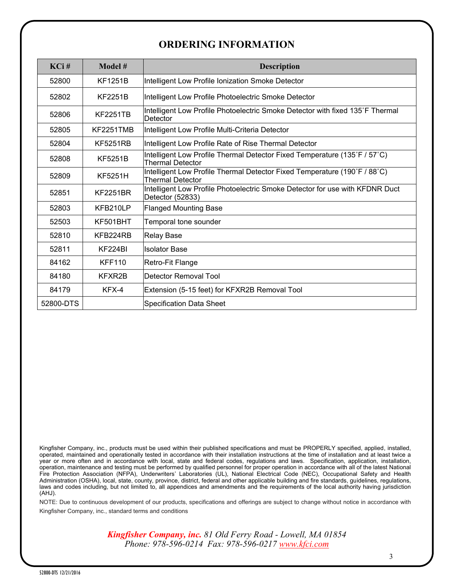#### **ORDERING INFORMATION**

| $KCi$ #   | Model #          | <b>Description</b>                                                                                   |
|-----------|------------------|------------------------------------------------------------------------------------------------------|
| 52800     | <b>KF1251B</b>   | Intelligent Low Profile Ionization Smoke Detector                                                    |
| 52802     | <b>KF2251B</b>   | Intelligent Low Profile Photoelectric Smoke Detector                                                 |
| 52806     | <b>KF2251TB</b>  | Intelligent Low Profile Photoelectric Smoke Detector with fixed 135°F Thermal<br>Detector            |
| 52805     | <b>KF2251TMB</b> | Intelligent Low Profile Multi-Criteria Detector                                                      |
| 52804     | <b>KF5251RB</b>  | Intelligent Low Profile Rate of Rise Thermal Detector                                                |
| 52808     | <b>KF5251B</b>   | Intelligent Low Profile Thermal Detector Fixed Temperature (135°F / 57°C)<br><b>Thermal Detector</b> |
| 52809     | <b>KF5251H</b>   | Intelligent Low Profile Thermal Detector Fixed Temperature (190°F / 88°C)<br><b>Thermal Detector</b> |
| 52851     | <b>KF2251BR</b>  | Intelligent Low Profile Photoelectric Smoke Detector for use with KFDNR Duct<br>Detector (52833)     |
| 52803     | KFB210LP         | <b>Flanged Mounting Base</b>                                                                         |
| 52503     | KF501BHT         | Temporal tone sounder                                                                                |
| 52810     | KFB224RB         | <b>Relay Base</b>                                                                                    |
| 52811     | KF224BI          | <b>Isolator Base</b>                                                                                 |
| 84162     | <b>KFF110</b>    | Retro-Fit Flange                                                                                     |
| 84180     | KFXR2B           | <b>IDetector Removal Tool</b>                                                                        |
| 84179     | KFX-4            | Extension (5-15 feet) for KFXR2B Removal Tool                                                        |
| 52800-DTS |                  | Specification Data Sheet                                                                             |

Kingfisher Company, inc., products must be used within their published specifications and must be PROPERLY specified, applied, installed, operated, maintained and operationally tested in accordance with their installation instructions at the time of installation and at least twice a year or more often and in accordance with local, state and federal codes, regulations and laws. Specification, application, installation, operation, maintenance and testing must be performed by qualified personnel for proper operation in accordance with all of the latest National Fire Protection Association (NFPA), Underwriters' Laboratories (UL), National Electrical Code (NEC), Occupational Safety and Health Administration (OSHA), local, state, county, province, district, federal and other applicable building and fire standards, guidelines, regulations, laws and codes including, but not limited to, all appendices and amendments and the requirements of the local authority having jurisdiction (AHJ).

NOTE: Due to continuous development of our products, specifications and offerings are subject to change without notice in accordance with Kingfisher Company, inc., standard terms and conditions

> *Kingfisher Company, inc. 81 Old Ferry Road - Lowell, MA 01854 Phone: 978-596-0214 Fax: 978-596-0217 [www.kfci.com](http://www.kfci.com/)*